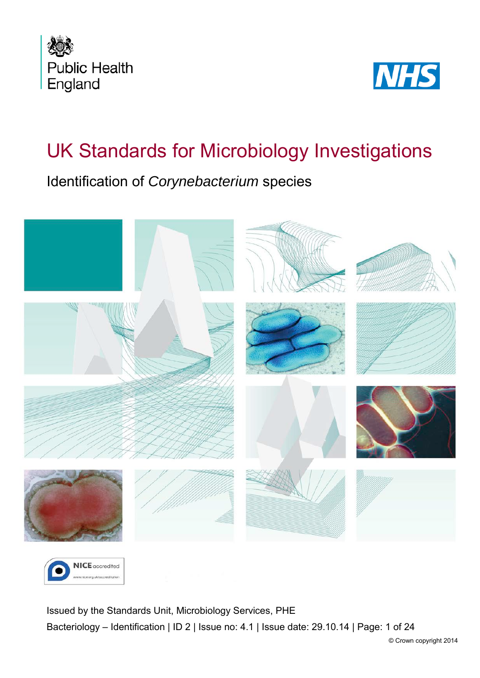



# UK Standards for Microbiology Investigations

Identification of *Corynebacterium* species





<span id="page-0-0"></span>Issued by the Standards Unit, Microbiology Services, PHE Bacteriology – Identification | ID 2 | Issue no: 4.1 | Issue date: 29.10.14 | Page: 1 of 24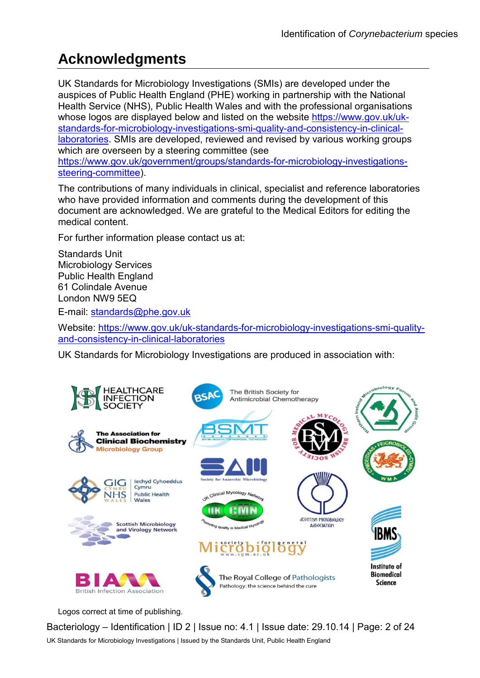# **Acknowledgments**

UK Standards for Microbiology Investigations (SMIs) are developed under the auspices of Public Health England (PHE) working in partnership with the National Health Service (NHS), Public Health Wales and with the professional organisations whose logos are displayed below and listed on the website [https://www.gov.uk/uk](https://www.gov.uk/uk-standards-for-microbiology-investigations-smi-quality-and-consistency-in-clinical-laboratories)[standards-for-microbiology-investigations-smi-quality-and-consistency-in-clinical](https://www.gov.uk/uk-standards-for-microbiology-investigations-smi-quality-and-consistency-in-clinical-laboratories)[laboratories.](https://www.gov.uk/uk-standards-for-microbiology-investigations-smi-quality-and-consistency-in-clinical-laboratories) SMIs are developed, reviewed and revised by various working groups which are overseen by a steering committee (see [https://www.gov.uk/government/groups/standards-for-microbiology-investigations](https://www.gov.uk/government/groups/standards-for-microbiology-investigations-steering-committee)[steering-committee\)](https://www.gov.uk/government/groups/standards-for-microbiology-investigations-steering-committee).

The contributions of many individuals in clinical, specialist and reference laboratories who have provided information and comments during the development of this document are acknowledged. We are grateful to the Medical Editors for editing the medical content.

For further information please contact us at:

Standards Unit Microbiology Services Public Health England 61 Colindale Avenue London NW9 5EQ

E-mail: [standards@phe.gov.uk](mailto:standards@phe.gov.uk)

Website: [https://www.gov.uk/uk-standards-for-microbiology-investigations-smi-quality](https://www.gov.uk/uk-standards-for-microbiology-investigations-smi-quality-and-consistency-in-clinical-laboratories)[and-consistency-in-clinical-laboratories](https://www.gov.uk/uk-standards-for-microbiology-investigations-smi-quality-and-consistency-in-clinical-laboratories)

UK Standards for Microbiology Investigations are produced in association with:



Logos correct at time of publishing.

Bacteriology – Identification | ID 2 | Issue no: 4.1 | Issue date: 29.10.14 | Page: 2 of 24 UK Standards for Microbiology Investigations | Issued by the Standards Unit, Public Health England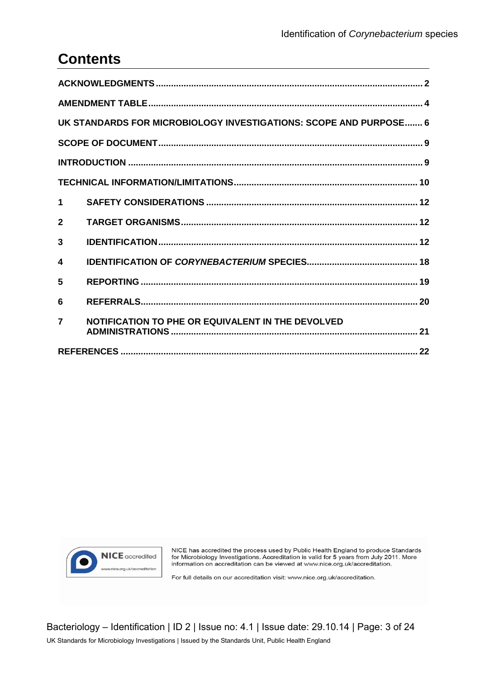# **Contents**

| UK STANDARDS FOR MICROBIOLOGY INVESTIGATIONS: SCOPE AND PURPOSE 6 |                                                   |  |  |  |
|-------------------------------------------------------------------|---------------------------------------------------|--|--|--|
|                                                                   |                                                   |  |  |  |
|                                                                   |                                                   |  |  |  |
|                                                                   |                                                   |  |  |  |
| $\mathbf 1$                                                       |                                                   |  |  |  |
| $\mathbf{2}$                                                      |                                                   |  |  |  |
| 3                                                                 |                                                   |  |  |  |
| 4                                                                 |                                                   |  |  |  |
| 5                                                                 |                                                   |  |  |  |
| 6                                                                 |                                                   |  |  |  |
| $\overline{7}$                                                    | NOTIFICATION TO PHE OR EQUIVALENT IN THE DEVOLVED |  |  |  |
|                                                                   |                                                   |  |  |  |



NICE has accredited the process used by Public Health England to produce Standards<br>for Microbiology Investigations. Accreditation is valid for 5 years from July 2011. More<br>information on accreditation can be viewed at www.

For full details on our accreditation visit: www.nice.org.uk/accreditation.

Bacteriology - Identification | ID 2 | Issue no: 4.1 | Issue date: 29.10.14 | Page: 3 of 24 UK Standards for Microbiology Investigations | Issued by the Standards Unit, Public Health England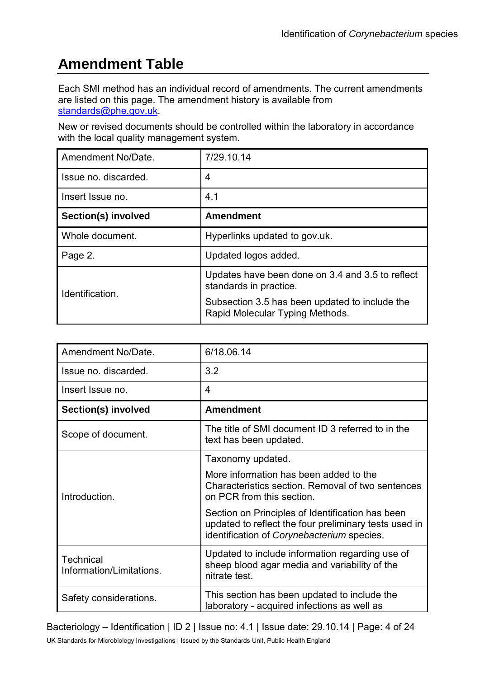# **Amendment Table**

Each SMI method has an individual record of amendments. The current amendments are listed on this page. The amendment history is available from [standards@phe.gov.uk.](mailto:standards@phe.gov.uk)

New or revised documents should be controlled within the laboratory in accordance with the local quality management system.

| Amendment No/Date.   | 7/29.10.14                                                                        |  |  |  |
|----------------------|-----------------------------------------------------------------------------------|--|--|--|
| Issue no. discarded. | 4                                                                                 |  |  |  |
| Insert Issue no.     | 4.1                                                                               |  |  |  |
| Section(s) involved  | <b>Amendment</b>                                                                  |  |  |  |
| Whole document.      | Hyperlinks updated to gov.uk.                                                     |  |  |  |
| Page 2.              | Updated logos added.                                                              |  |  |  |
| Identification.      | Updates have been done on 3.4 and 3.5 to reflect<br>standards in practice.        |  |  |  |
|                      | Subsection 3.5 has been updated to include the<br>Rapid Molecular Typing Methods. |  |  |  |

| Amendment No/Date.                           | 6/18.06.14                                                                                                                                              |  |  |  |
|----------------------------------------------|---------------------------------------------------------------------------------------------------------------------------------------------------------|--|--|--|
| Issue no. discarded.                         | 3.2                                                                                                                                                     |  |  |  |
| Insert Issue no.                             | $\overline{4}$                                                                                                                                          |  |  |  |
| Section(s) involved                          | <b>Amendment</b>                                                                                                                                        |  |  |  |
| Scope of document.                           | The title of SMI document ID 3 referred to in the<br>text has been updated.                                                                             |  |  |  |
|                                              | Taxonomy updated.                                                                                                                                       |  |  |  |
| Introduction.                                | More information has been added to the<br>Characteristics section. Removal of two sentences<br>on PCR from this section.                                |  |  |  |
|                                              | Section on Principles of Identification has been<br>updated to reflect the four preliminary tests used in<br>identification of Corynebacterium species. |  |  |  |
| <b>Technical</b><br>Information/Limitations. | Updated to include information regarding use of<br>sheep blood agar media and variability of the<br>nitrate test.                                       |  |  |  |
| Safety considerations.                       | This section has been updated to include the<br>laboratory - acquired infections as well as                                                             |  |  |  |

Bacteriology – Identification | ID 2 | Issue no: 4.1 | Issue date: 29.10.14 | Page: 4 of 24 UK Standards for Microbiology Investigations | Issued by the Standards Unit, Public Health England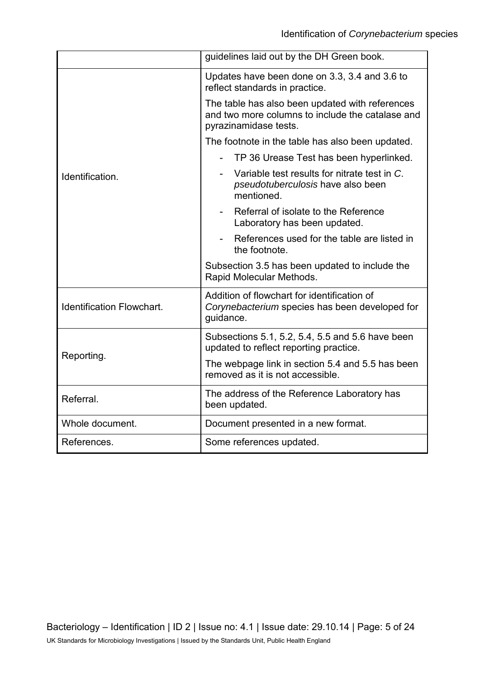|                                  | guidelines laid out by the DH Green book.                                                                                    |  |  |  |
|----------------------------------|------------------------------------------------------------------------------------------------------------------------------|--|--|--|
|                                  | Updates have been done on 3.3, 3.4 and 3.6 to<br>reflect standards in practice.                                              |  |  |  |
|                                  | The table has also been updated with references<br>and two more columns to include the catalase and<br>pyrazinamidase tests. |  |  |  |
|                                  | The footnote in the table has also been updated.                                                                             |  |  |  |
|                                  | TP 36 Urease Test has been hyperlinked.                                                                                      |  |  |  |
| Identification.                  | Variable test results for nitrate test in C.<br>pseudotuberculosis have also been<br>mentioned.                              |  |  |  |
|                                  | Referral of isolate to the Reference<br>Laboratory has been updated.                                                         |  |  |  |
|                                  | References used for the table are listed in<br>the footnote.                                                                 |  |  |  |
|                                  | Subsection 3.5 has been updated to include the<br>Rapid Molecular Methods.                                                   |  |  |  |
| <b>Identification Flowchart.</b> | Addition of flowchart for identification of<br>Corynebacterium species has been developed for<br>guidance.                   |  |  |  |
|                                  | Subsections 5.1, 5.2, 5.4, 5.5 and 5.6 have been<br>updated to reflect reporting practice.                                   |  |  |  |
| Reporting.                       | The webpage link in section 5.4 and 5.5 has been<br>removed as it is not accessible.                                         |  |  |  |
| Referral.                        | The address of the Reference Laboratory has<br>been updated.                                                                 |  |  |  |
| Whole document.                  | Document presented in a new format.                                                                                          |  |  |  |
| References.                      | Some references updated.                                                                                                     |  |  |  |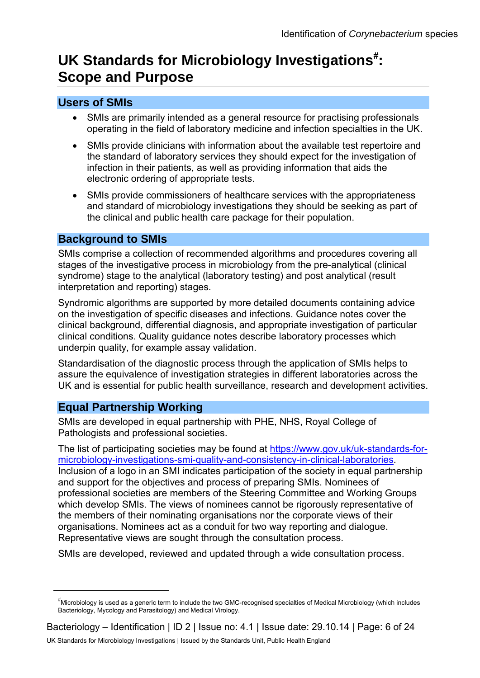# UK Standards for Microbiology Investigations<sup>[#](#page-0-0)</sup>: **Scope and Purpose**

#### **Users of SMIs**

- SMIs are primarily intended as a general resource for practising professionals operating in the field of laboratory medicine and infection specialties in the UK.
- SMIs provide clinicians with information about the available test repertoire and the standard of laboratory services they should expect for the investigation of infection in their patients, as well as providing information that aids the electronic ordering of appropriate tests.
- SMIs provide commissioners of healthcare services with the appropriateness and standard of microbiology investigations they should be seeking as part of the clinical and public health care package for their population.

#### **Background to SMIs**

SMIs comprise a collection of recommended algorithms and procedures covering all stages of the investigative process in microbiology from the pre-analytical (clinical syndrome) stage to the analytical (laboratory testing) and post analytical (result interpretation and reporting) stages.

Syndromic algorithms are supported by more detailed documents containing advice on the investigation of specific diseases and infections. Guidance notes cover the clinical background, differential diagnosis, and appropriate investigation of particular clinical conditions. Quality guidance notes describe laboratory processes which underpin quality, for example assay validation.

Standardisation of the diagnostic process through the application of SMIs helps to assure the equivalence of investigation strategies in different laboratories across the UK and is essential for public health surveillance, research and development activities.

#### **Equal Partnership Working**

 $\overline{a}$ 

SMIs are developed in equal partnership with PHE, NHS, Royal College of Pathologists and professional societies.

The list of participating societies may be found at [https://www.gov.uk/uk-standards-for](https://www.gov.uk/uk-standards-for-microbiology-investigations-smi-quality-and-consistency-in-clinical-laboratories)[microbiology-investigations-smi-quality-and-consistency-in-clinical-laboratories.](https://www.gov.uk/uk-standards-for-microbiology-investigations-smi-quality-and-consistency-in-clinical-laboratories) Inclusion of a logo in an SMI indicates participation of the society in equal partnership and support for the objectives and process of preparing SMIs. Nominees of professional societies are members of the Steering Committee and Working Groups which develop SMIs. The views of nominees cannot be rigorously representative of the members of their nominating organisations nor the corporate views of their organisations. Nominees act as a conduit for two way reporting and dialogue. Representative views are sought through the consultation process.

SMIs are developed, reviewed and updated through a wide consultation process.

<sup>#</sup> Microbiology is used as a generic term to include the two GMC-recognised specialties of Medical Microbiology (which includes Bacteriology, Mycology and Parasitology) and Medical Virology.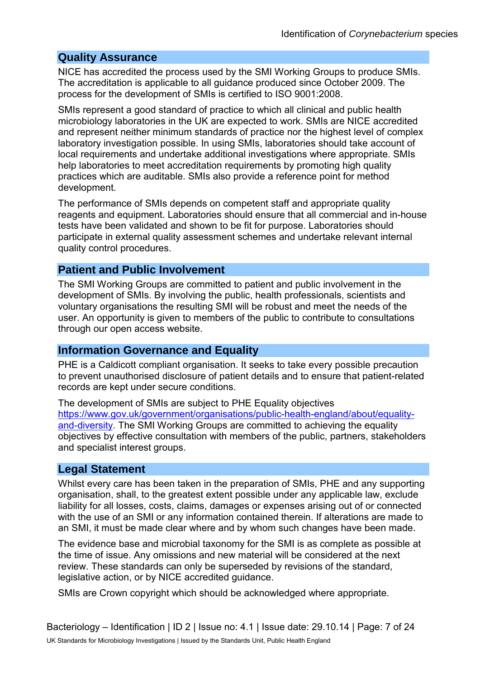#### **Quality Assurance**

NICE has accredited the process used by the SMI Working Groups to produce SMIs. The accreditation is applicable to all guidance produced since October 2009. The process for the development of SMIs is certified to ISO 9001:2008.

SMIs represent a good standard of practice to which all clinical and public health microbiology laboratories in the UK are expected to work. SMIs are NICE accredited and represent neither minimum standards of practice nor the highest level of complex laboratory investigation possible. In using SMIs, laboratories should take account of local requirements and undertake additional investigations where appropriate. SMIs help laboratories to meet accreditation requirements by promoting high quality practices which are auditable. SMIs also provide a reference point for method development.

The performance of SMIs depends on competent staff and appropriate quality reagents and equipment. Laboratories should ensure that all commercial and in-house tests have been validated and shown to be fit for purpose. Laboratories should participate in external quality assessment schemes and undertake relevant internal quality control procedures.

#### **Patient and Public Involvement**

The SMI Working Groups are committed to patient and public involvement in the development of SMIs. By involving the public, health professionals, scientists and voluntary organisations the resulting SMI will be robust and meet the needs of the user. An opportunity is given to members of the public to contribute to consultations through our open access website.

#### **Information Governance and Equality**

PHE is a Caldicott compliant organisation. It seeks to take every possible precaution to prevent unauthorised disclosure of patient details and to ensure that patient-related records are kept under secure conditions.

The development of SMIs are subject to PHE Equality objectives [https://www.gov.uk/government/organisations/public-health-england/about/equality](https://www.gov.uk/government/organisations/public-health-england/about/equality-and-diversity)[and-diversity.](https://www.gov.uk/government/organisations/public-health-england/about/equality-and-diversity) The SMI Working Groups are committed to achieving the equality objectives by effective consultation with members of the public, partners, stakeholders and specialist interest groups.

#### **Legal Statement**

Whilst every care has been taken in the preparation of SMIs, PHE and any supporting organisation, shall, to the greatest extent possible under any applicable law, exclude liability for all losses, costs, claims, damages or expenses arising out of or connected with the use of an SMI or any information contained therein. If alterations are made to an SMI, it must be made clear where and by whom such changes have been made.

The evidence base and microbial taxonomy for the SMI is as complete as possible at the time of issue. Any omissions and new material will be considered at the next review. These standards can only be superseded by revisions of the standard, legislative action, or by NICE accredited guidance.

SMIs are Crown copyright which should be acknowledged where appropriate.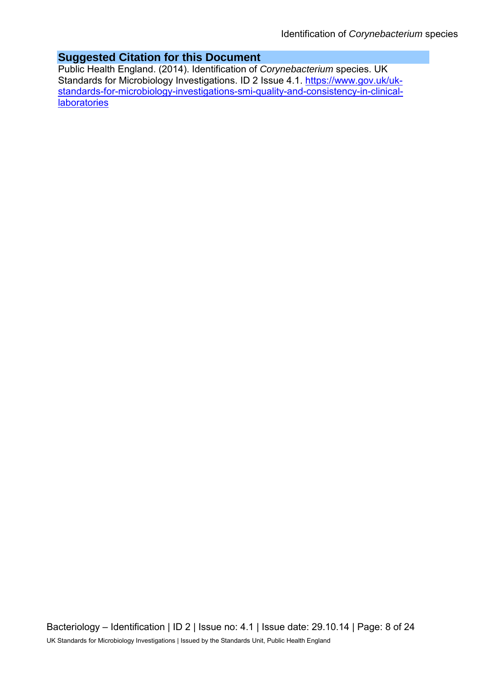#### **Suggested Citation for this Document**

Public Health England. (2014). Identification of *Corynebacterium* species. UK Standards for Microbiology Investigations. ID 2 Issue 4.1. [https://www.gov.uk/uk](https://www.gov.uk/uk-standards-for-microbiology-investigations-smi-quality-and-consistency-in-clinical-laboratories)[standards-for-microbiology-investigations-smi-quality-and-consistency-in-clinical](https://www.gov.uk/uk-standards-for-microbiology-investigations-smi-quality-and-consistency-in-clinical-laboratories)**[laboratories](https://www.gov.uk/uk-standards-for-microbiology-investigations-smi-quality-and-consistency-in-clinical-laboratories)**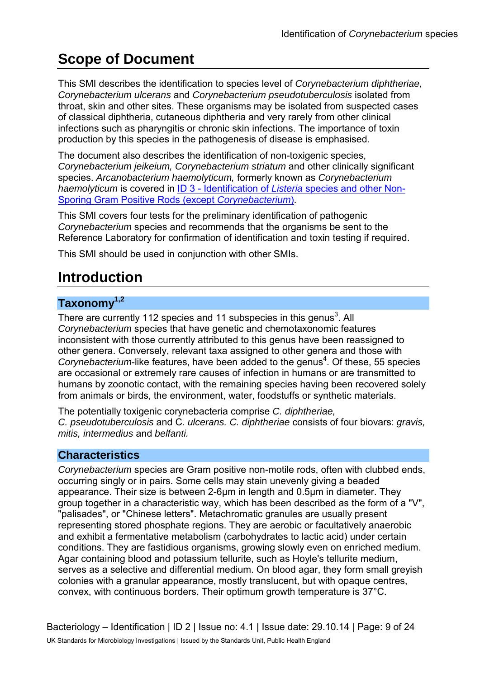# **Scope of Document**

This SMI describes the identification to species level of *Corynebacterium diphtheriae, Corynebacterium ulcerans* and *Corynebacterium pseudotuberculosis* isolated from throat, skin and other sites. These organisms may be isolated from suspected cases of classical diphtheria, cutaneous diphtheria and very rarely from other clinical infections such as pharyngitis or chronic skin infections. The importance of toxin production by this species in the pathogenesis of disease is emphasised.

The document also describes the identification of non-toxigenic species, *Corynebacterium jeikeium, Corynebacterium striatum* and other clinically significant species. *Arcanobacterium haemolyticum,* formerly known as *Corynebacterium haemolyticum* is covered in [ID 3 - Identification of](https://www.gov.uk/government/collections/standards-for-microbiology-investigations-smi#identification) *Listeria* species and other Non-[Sporing Gram Positive Rods](https://www.gov.uk/government/collections/standards-for-microbiology-investigations-smi#identification) (except *Corynebacterium*).

This SMI covers four tests for the preliminary identification of pathogenic *Corynebacterium* species and recommends that the organisms be sent to the Reference Laboratory for confirmation of identification and toxin testing if required.

This SMI should be used in conjunction with other SMIs.

# **Introduction**

### **Taxonomy1,2**

There are currently 112 species and 11 subspecies in this genus<sup>3</sup>. All *Corynebacterium* species that have genetic and chemotaxonomic features inconsistent with those currently attributed to this genus have been reassigned to other genera. Conversely, relevant taxa assigned to other genera and those with Corynebacterium-like features, have been added to the genus<sup>4</sup>. Of these, 55 species are occasional or extremely rare causes of infection in humans or are transmitted to humans by zoonotic contact, with the remaining species having been recovered solely from animals or birds, the environment, water, foodstuffs or synthetic materials.

The potentially toxigenic corynebacteria comprise *C. diphtheriae, C. pseudotuberculosis* and C*. ulcerans. C. diphtheriae* consists of four biovars: *gravis, mitis, intermedius* and *belfanti.*

### **Characteristics**

*Corynebacterium* species are Gram positive non-motile rods, often with clubbed ends, occurring singly or in pairs. Some cells may stain unevenly giving a beaded appearance. Their size is between 2-6µm in length and 0.5µm in diameter. They group together in a characteristic way, which has been described as the form of a "V", "palisades", or "Chinese letters". Metachromatic granules are usually present representing stored phosphate regions. They are aerobic or facultatively anaerobic and exhibit a fermentative metabolism (carbohydrates to lactic acid) under certain conditions. They are fastidious organisms, growing slowly even on enriched medium. Agar containing blood and potassium tellurite, such as Hoyle's tellurite medium, serves as a selective and differential medium. On blood agar, they form small greyish colonies with a granular appearance, mostly translucent, but with opaque centres, convex, with continuous borders. Their optimum growth temperature is 37°C.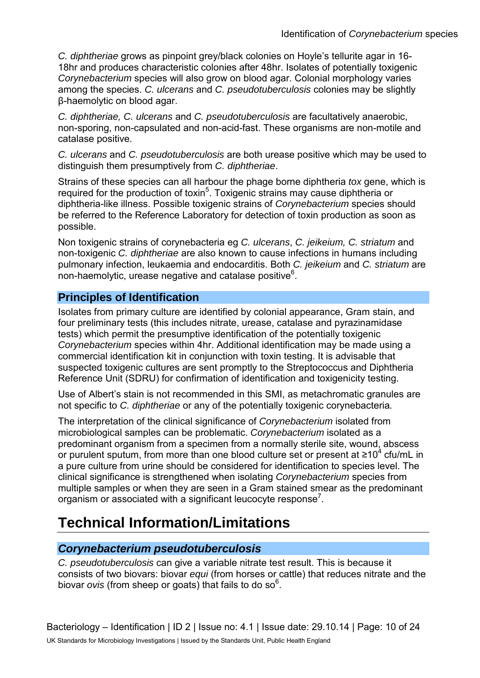*C. diphtheriae* grows as pinpoint grey/black colonies on Hoyle's tellurite agar in 16- 18hr and produces characteristic colonies after 48hr. Isolates of potentially toxigenic *Corynebacterium* species will also grow on blood agar. Colonial morphology varies among the species. *C. ulcerans* and *C. pseudotuberculosis* colonies may be slightly β-haemolytic on blood agar.

*C. diphtheriae, C. ulcerans* and *C. pseudotuberculosis* are facultatively anaerobic, non-sporing, non-capsulated and non-acid-fast. These organisms are non-motile and catalase positive.

*C. ulcerans* and *C. pseudotuberculosis* are both urease positive which may be used to distinguish them presumptively from *C. diphtheriae*.

Strains of these species can all harbour the phage borne diphtheria *tox* gene, which is required for the production of toxin<sup>5</sup>. Toxigenic strains may cause diphtheria or diphtheria-like illness. Possible toxigenic strains of *Corynebacterium* species should be referred to the Reference Laboratory for detection of toxin production as soon as possible.

Non toxigenic strains of corynebacteria eg *C. ulcerans*, *C. jeikeium, C. striatum* and non-toxigenic *C. diphtheriae* are also known to cause infections in humans including pulmonary infection, leukaemia and endocarditis. Both *C. jeikeium* and *C. striatum* are non-haemolytic, urease negative and catalase positive<sup>6</sup>.

#### **Principles of Identification**

Isolates from primary culture are identified by colonial appearance, Gram stain, and four preliminary tests (this includes nitrate, urease, catalase and pyrazinamidase tests) which permit the presumptive identification of the potentially toxigenic *Corynebacterium* species within 4hr. Additional identification may be made using a commercial identification kit in conjunction with toxin testing. It is advisable that suspected toxigenic cultures are sent promptly to the Streptococcus and Diphtheria Reference Unit (SDRU) for confirmation of identification and toxigenicity testing.

Use of Albert's stain is not recommended in this SMI, as metachromatic granules are not specific to *C. diphtheriae* or any of the potentially toxigenic corynebacteria*.*

The interpretation of the clinical significance of *Corynebacterium* isolated from microbiological samples can be problematic. *Corynebacterium* isolated as a predominant organism from a specimen from a normally sterile site, wound, abscess or purulent sputum, from more than one blood culture set or present at  $\geq 10^4$  cfu/mL in a pure culture from urine should be considered for identification to species level. The clinical significance is strengthened when isolating *Corynebacterium* species from multiple samples or when they are seen in a Gram stained smear as the predominant organism or associated with a significant leucocyte response<sup>7</sup>.

# **Technical Information/Limitations**

#### *Corynebacterium pseudotuberculosis*

*C. pseudotuberculosis* can give a variable nitrate test result. This is because it consists of two biovars: biovar *equi* (from horses or cattle) that reduces nitrate and the biovar *ovis* (from sheep or goats) that fails to do so<sup>6</sup>.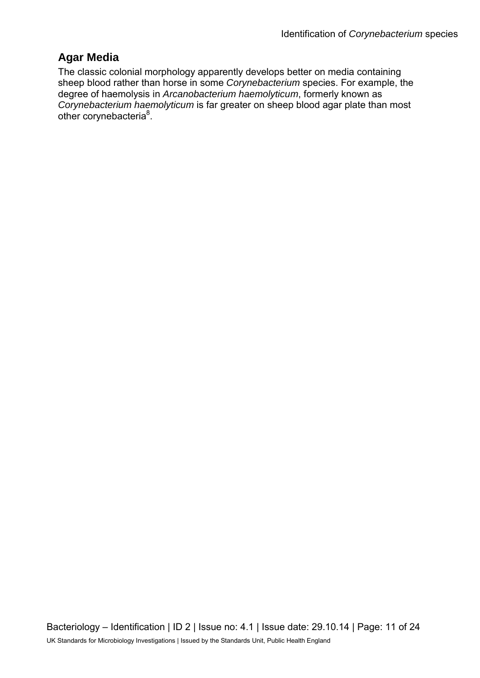### **Agar Media**

The classic colonial morphology apparently develops better on media containing sheep blood rather than horse in some *Corynebacterium* species. For example, the degree of haemolysis in *Arcanobacterium haemolyticum*, formerly known as *Corynebacterium haemolyticum* is far greater on sheep blood agar plate than most other corynebacteria<sup>8</sup>.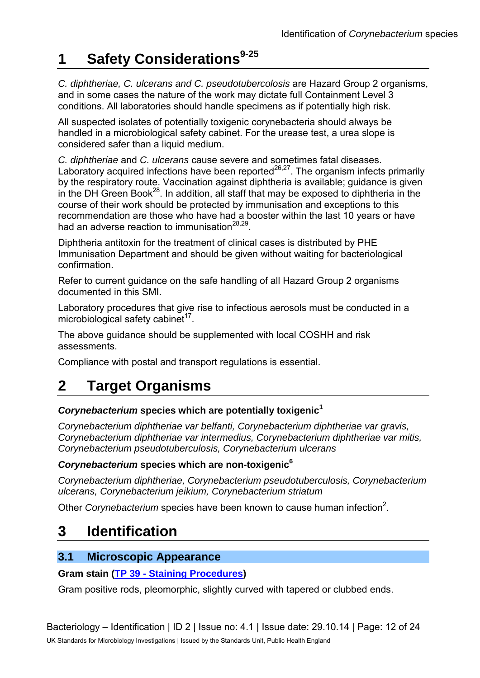# **1 Safety Considerations9-25**

*C. diphtheriae, C. ulcerans and C. pseudotubercolosis* are Hazard Group 2 organisms, and in some cases the nature of the work may dictate full Containment Level 3 conditions. All laboratories should handle specimens as if potentially high risk.

All suspected isolates of potentially toxigenic corynebacteria should always be handled in a microbiological safety cabinet. For the urease test, a urea slope is considered safer than a liquid medium.

*C. diphtheriae* and *C. ulcerans* cause severe and sometimes fatal diseases. Laboratory acquired infections have been reported<sup>26,27</sup>. The organism infects primarily by the respiratory route. Vaccination against diphtheria is available; guidance is given in the DH Green Book<sup>28</sup>. In addition, all staff that may be exposed to diphtheria in the course of their work should be protected by immunisation and exceptions to this recommendation are those who have had a booster within the last 10 years or have had an adverse reaction to immunisation $^{28,29}$ .

Diphtheria antitoxin for the treatment of clinical cases is distributed by PHE Immunisation Department and should be given without waiting for bacteriological confirmation.

Refer to current guidance on the safe handling of all Hazard Group 2 organisms documented in this SMI.

Laboratory procedures that give rise to infectious aerosols must be conducted in a microbiological safety cabinet $17$ .

The above guidance should be supplemented with local COSHH and risk assessments.

Compliance with postal and transport regulations is essential.

# **2 Target Organisms**

#### *Corynebacterium* **species which are potentially toxigenic<sup>1</sup>**

*Corynebacterium diphtheriae var belfanti, Corynebacterium diphtheriae var gravis, Corynebacterium diphtheriae var intermedius, Corynebacterium diphtheriae var mitis, Corynebacterium pseudotuberculosis, Corynebacterium ulcerans*

#### *Corynebacterium* **species which are non-toxigenic<sup>6</sup>**

*Corynebacterium diphtheriae, Corynebacterium pseudotuberculosis, Corynebacterium ulcerans, Corynebacterium jeikium, Corynebacterium striatum*

Other *Corynebacterium* species have been known to cause human infection<sup>2</sup>.

## **3 Identification**

### **3.1 Microscopic Appearance**

#### **Gram stain [\(TP 39 - Staining Procedures\)](https://www.gov.uk/government/collections/standards-for-microbiology-investigations-smi#test-procedures)**

Gram positive rods, pleomorphic, slightly curved with tapered or clubbed ends.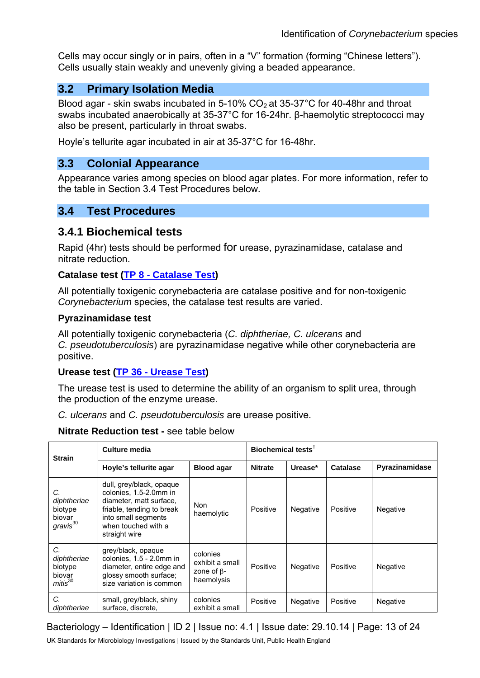Cells may occur singly or in pairs, often in a "V" formation (forming "Chinese letters"). Cells usually stain weakly and unevenly giving a beaded appearance.

#### **3.2 Primary Isolation Media**

Blood agar - skin swabs incubated in 5-10%  $CO<sub>2</sub>$  at 35-37°C for 40-48hr and throat swabs incubated anaerobically at 35-37°C for 16-24hr. β-haemolytic streptococci may also be present, particularly in throat swabs.

Hoyle's tellurite agar incubated in air at 35-37°C for 16-48hr.

#### **3.3 Colonial Appearance**

Appearance varies among species on blood agar plates. For more information, refer to the table in Section 3.4 Test Procedures below.

#### **3.4 Test Procedures**

#### **3.4.1 Biochemical tests**

Rapid (4hr) tests should be performed for urease, pyrazinamidase, catalase and nitrate reduction.

#### **Catalase test [\(TP 8 - Catalase Test\)](https://www.gov.uk/government/collections/standards-for-microbiology-investigations-smi#test-procedures)**

All potentially toxigenic corynebacteria are catalase positive and for non-toxigenic *Corynebacterium* species, the catalase test results are varied.

#### **Pyrazinamidase test**

All potentially toxigenic corynebacteria (*C. diphtheriae, C. ulcerans* and *C. pseudotuberculosis*) are pyrazinamidase negative while other corynebacteria are positive.

#### **Urease test [\(TP 36 - Urease Test\)](https://www.gov.uk/government/collections/standards-for-microbiology-investigations-smi#test-procedures)**

The urease test is used to determine the ability of an organism to split urea, through the production of the enzyme urease.

*C. ulcerans* and *C. pseudotuberculosis* are urease positive.

#### **Nitrate Reduction test -** see table below

| <b>Strain</b>                                                  | Culture media                                                                                                                                                             |                                                                | Biochemical tests <sup>t</sup> |          |          |                |
|----------------------------------------------------------------|---------------------------------------------------------------------------------------------------------------------------------------------------------------------------|----------------------------------------------------------------|--------------------------------|----------|----------|----------------|
|                                                                | Hoyle's tellurite agar                                                                                                                                                    | <b>Blood agar</b>                                              | <b>Nitrate</b>                 | Urease*  | Catalase | Pyrazinamidase |
| C.<br>diphtheriae<br>biotype<br>biovar<br>gravis <sup>30</sup> | dull, grey/black, opaque<br>colonies, 1.5-2.0mm in<br>diameter, matt surface,<br>friable, tending to break<br>into small segments<br>when touched with a<br>straight wire | Non.<br>haemolytic                                             | Positive                       | Negative | Positive | Negative       |
| C.<br>diphtheriae<br>biotype<br>biovar<br>mitis <sup>30</sup>  | grey/black, opaque<br>colonies, 1.5 - 2.0mm in<br>diameter, entire edge and<br>glossy smooth surface;<br>size variation is common                                         | colonies<br>exhibit a small<br>zone of $\beta$ -<br>haemolysis | Positive                       | Negative | Positive | Negative       |
| C.<br>diphtheriae                                              | small, grey/black, shiny<br>surface, discrete,                                                                                                                            | colonies<br>exhibit a small                                    | Positive                       | Negative | Positive | Negative       |

#### Bacteriology – Identification | ID 2 | Issue no: 4.1 | Issue date: 29.10.14 | Page: 13 of 24

UK Standards for Microbiology Investigations | Issued by the Standards Unit, Public Health England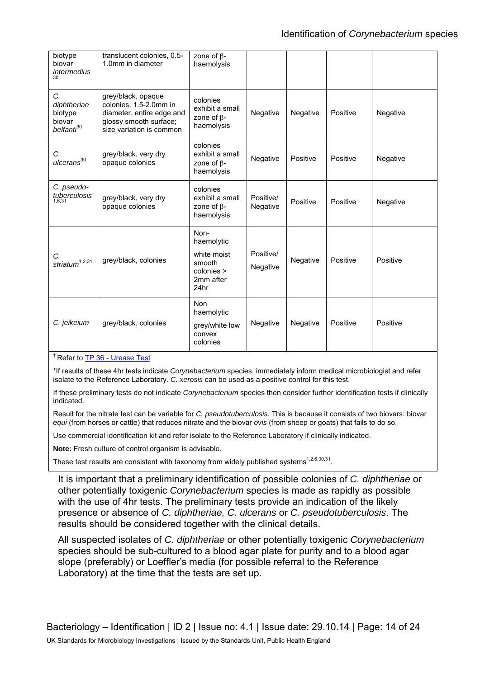| biotype<br>biovar<br><i>intermedius</i><br>30                    | translucent colonies, 0.5-<br>1.0mm in diameter                                                                                 | zone of $\beta$ -<br>haemolysis                                                |                       |          |          |          |
|------------------------------------------------------------------|---------------------------------------------------------------------------------------------------------------------------------|--------------------------------------------------------------------------------|-----------------------|----------|----------|----------|
| C.<br>diphtheriae<br>biotype<br>biovar<br>belfanti <sup>30</sup> | grey/black, opaque<br>colonies, 1.5-2.0mm in<br>diameter, entire edge and<br>glossy smooth surface;<br>size variation is common | colonies<br>exhibit a small<br>zone of $\beta$ -<br>haemolysis                 | Negative              | Negative | Positive | Negative |
| C.<br>ulcerans <sup>30</sup>                                     | grey/black, very dry<br>opaque colonies                                                                                         | colonies<br>exhibit a small<br>zone of $\beta$ -<br>haemolysis                 | Negative              | Positive | Positive | Negative |
| C. pseudo-<br>tuberculosis<br>1,6,31                             | grey/black, very dry<br>opaque colonies                                                                                         | colonies<br>exhibit a small<br>zone of $\beta$ -<br>haemolysis                 | Positive/<br>Negative | Positive | Positive | Negative |
| С.<br>striatum $1,2,31$                                          | grey/black, colonies                                                                                                            | Non-<br>haemolytic<br>white moist<br>smooth<br>colonies ><br>2mm after<br>24hr | Positive/<br>Negative | Negative | Positive | Positive |
| C. jeikeium                                                      | grey/black, colonies                                                                                                            | <b>Non</b><br>haemolytic<br>grey/white low<br>convex<br>colonies               | Negative              | Negative | Positive | Positive |

† Refer t[o TP 36 - Urease Test](https://www.gov.uk/government/collections/standards-for-microbiology-investigations-smi#test-procedures) 

\*If results of these 4hr tests indicate *Corynebacterium* species, immediately inform medical microbiologist and refer isolate to the Reference Laboratory. *C. xerosis* can be used as a positive control for this test.

If these preliminary tests do not indicate *Corynebacterium* species then consider further identification tests if clinically indicated.

Result for the nitrate test can be variable for *C. pseudotuberculosis*. This is because it consists of two biovars: biovar *equi* (from horses or cattle) that reduces nitrate and the biovar *ovis* (from sheep or goats) that fails to do so.

Use commercial identification kit and refer isolate to the Reference Laboratory if clinically indicated.

**Note:** Fresh culture of control organism is advisable.

These test results are consistent with taxonomy from widely published systems<sup>1,2,6,30,31</sup>.

It is important that a preliminary identification of possible colonies of *C. diphtheriae* or other potentially toxigenic *Corynebacterium* species is made as rapidly as possible with the use of 4hr tests. The preliminary tests provide an indication of the likely presence or absence of *C. diphtheriae, C. ulcerans* or *C. pseudotuberculosis*. The results should be considered together with the clinical details.

All suspected isolates of *C. diphtheriae* or other potentially toxigenic *Corynebacterium*  species should be sub-cultured to a blood agar plate for purity and to a blood agar slope (preferably) or Loeffler's media (for possible referral to the Reference Laboratory) at the time that the tests are set up.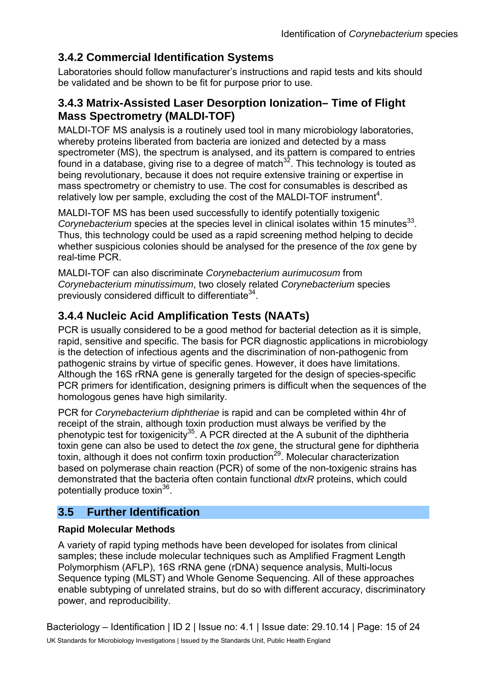### **3.4.2 Commercial Identification Systems**

Laboratories should follow manufacturer's instructions and rapid tests and kits should be validated and be shown to be fit for purpose prior to use.

### **3.4.3 Matrix-Assisted Laser Desorption Ionization– Time of Flight Mass Spectrometry (MALDI-TOF)**

MALDI-TOF MS analysis is a routinely used tool in many microbiology laboratories, whereby proteins liberated from bacteria are ionized and detected by a mass spectrometer (MS), the spectrum is analysed, and its pattern is compared to entries found in a database, giving rise to a degree of match $32$ . This technology is touted as being revolutionary, because it does not require extensive training or expertise in mass spectrometry or chemistry to use. The cost for consumables is described as relatively low per sample, excluding the cost of the MALDI-TOF instrument<sup>4</sup>.

MALDI-TOF MS has been used successfully to identify potentially toxigenic *Corynebacterium* species at the species level in clinical isolates within 15 minutes<sup>33</sup>. Thus, this technology could be used as a rapid screening method helping to decide whether suspicious colonies should be analysed for the presence of the *tox* gene by real-time PCR.

MALDI-TOF can also discriminate *Corynebacterium aurimucosum* from *Corynebacterium minutissimum*, two closely related *Corynebacterium* species previously considered difficult to differentiate<sup>34</sup>.

### **3.4.4 Nucleic Acid Amplification Tests (NAATs)**

PCR is usually considered to be a good method for bacterial detection as it is simple. rapid, sensitive and specific. The basis for PCR diagnostic applications in microbiology is the detection of infectious agents and the discrimination of non-pathogenic from pathogenic strains by virtue of specific genes. However, it does have limitations. Although the 16S rRNA gene is generally targeted for the design of species-specific PCR primers for identification, designing primers is difficult when the sequences of the homologous genes have high similarity.

PCR for *Corynebacterium diphtheriae* is rapid and can be completed within 4hr of receipt of the strain, although toxin production must always be verified by the phenotypic test for toxigenicity<sup>35</sup>. A PCR directed at the A subunit of the diphtheria toxin gene can also be used to detect the *tox* gene, the structural gene for diphtheria toxin, gone can also so assa to astest the tox gone, the characterization toxin, although it does not confirm toxin production<sup>29</sup>. Molecular characterization based on polymerase chain reaction (PCR) of some of the non-toxigenic strains has demonstrated that the bacteria often contain functional *dtxR* proteins, which could potentially produce toxin<sup>36</sup>.

### **3.5 Further Identification**

#### **Rapid Molecular Methods**

A variety of rapid typing methods have been developed for isolates from clinical samples; these include molecular techniques such as Amplified Fragment Length Polymorphism (AFLP), 16S rRNA gene (rDNA) sequence analysis, Multi-locus Sequence typing (MLST) and Whole Genome Sequencing. All of these approaches enable subtyping of unrelated strains, but do so with different accuracy, discriminatory power, and reproducibility.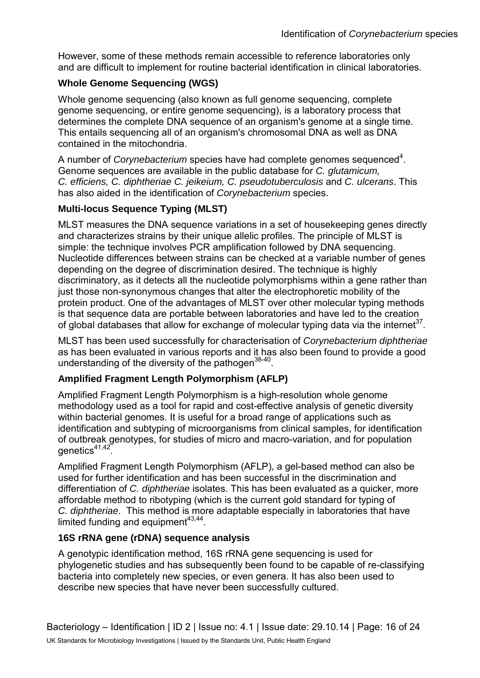However, some of these methods remain accessible to reference laboratories only and are difficult to implement for routine bacterial identification in clinical laboratories.

#### **Whole Genome Sequencing (WGS)**

Whole genome sequencing (also known as full genome sequencing, complete genome sequencing, or entire genome sequencing), is a laboratory process that determines the complete DNA sequence of an organism's genome at a single time. This entails sequencing all of an organism's chromosomal DNA as well as DNA contained in the mitochondria.

A number of *Corynebacterium* species have had complete genomes sequenced<sup>4</sup>. Genome sequences are available in the public database for *C. glutamicum, C. efficiens, C. diphtheriae C. jeikeium, C. pseudotuberculosis* and *C. ulcerans*. This has also aided in the identification of *Corynebacterium* species.

#### **Multi-locus Sequence Typing (MLST)**

MLST measures the DNA sequence variations in a set of housekeeping genes directly and characterizes strains by their unique allelic profiles. The principle of MLST is simple: the technique involves PCR amplification followed by DNA sequencing. Nucleotide differences between strains can be checked at a variable number of genes depending on the degree of discrimination desired. The technique is highly discriminatory, as it detects all the nucleotide polymorphisms within a gene rather than just those non-synonymous changes that alter the electrophoretic mobility of the protein product. One of the advantages of MLST over other molecular typing methods is that sequence data are portable between laboratories and have led to the creation of global databases that allow for exchange of molecular typing data via the internet<sup>37</sup>.

MLST has been used successfully for characterisation of *Corynebacterium diphtheriae* as has been evaluated in various reports and it has also been found to provide a good understanding of the diversity of the pathogen<sup>38-40</sup>.

#### **Amplified Fragment Length Polymorphism (AFLP)**

Amplified Fragment Length Polymorphism is a high-resolution whole genome methodology used as a tool for rapid and cost-effective analysis of genetic diversity within bacterial genomes. It is useful for a broad range of applications such as identification and subtyping of microorganisms from clinical samples, for identification of outbreak genotypes, for studies of micro and macro-variation, and for population genetics<sup>41,42</sup>

Amplified Fragment Length Polymorphism (AFLP), a gel-based method can also be used for further identification and has been successful in the discrimination and differentiation of *C. diphtheriae* isolates. This has been evaluated as a quicker, more affordable method to ribotyping (which is the current gold standard for typing of *C. diphtheriae*. This method is more adaptable especially in laboratories that have limited funding and equipment $43,44$ .

#### **16S rRNA gene (rDNA) sequence analysis**

A genotypic identification method, 16S rRNA gene sequencing is used for phylogenetic studies and has subsequently been found to be capable of re-classifying bacteria into completely new species, or even genera. It has also been used to describe new species that have never been successfully cultured.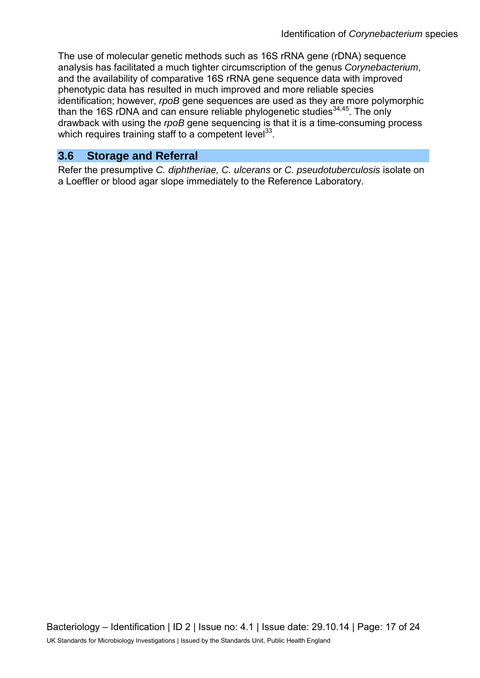The use of molecular genetic methods such as 16S rRNA gene (rDNA) sequence analysis has facilitated a much tighter circumscription of the genus *Corynebacterium*, and the availability of comparative 16S rRNA gene sequence data with improved phenotypic data has resulted in much improved and more reliable species identification; however, *rpoB* gene sequences are used as they are more polymorphic than the 16S rDNA and can ensure reliable phylogenetic studies  $34,45$ . The only drawback with using the *rpoB* gene sequencing is that it is a time-consuming process which requires training staff to a competent level $^{33}$ .

#### **3.6 Storage and Referral**

Refer the presumptive *C. diphtheriae, C. ulcerans* or *C. pseudotuberculosis* isolate on a Loeffler or blood agar slope immediately to the Reference Laboratory.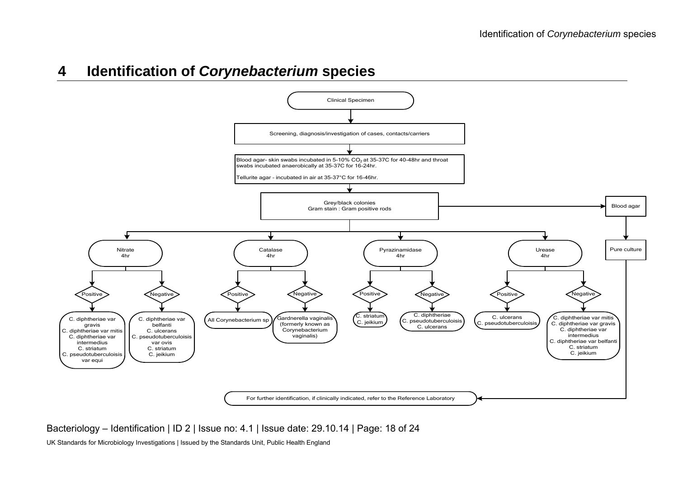## **4 Identification of** *Corynebacterium* **species**



#### Bacteriology – Identification | ID 2 | Issue no: 4.1 | Issue date: 29.10.14 | Page: 18 of 24

UK Standards for Microbiology Investigations | Issued by the Standards Unit, Public Health England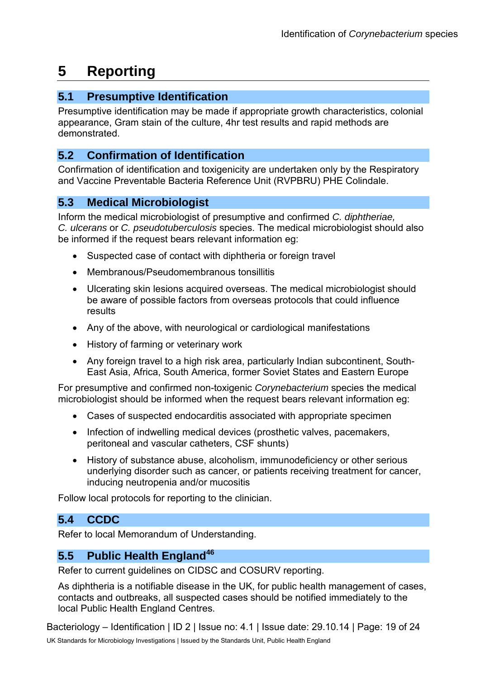# **5 Reporting**

#### **5.1 Presumptive Identification**

Presumptive identification may be made if appropriate growth characteristics, colonial appearance, Gram stain of the culture, 4hr test results and rapid methods are demonstrated.

### **5.2 Confirmation of Identification**

Confirmation of identification and toxigenicity are undertaken only by the Respiratory and Vaccine Preventable Bacteria Reference Unit (RVPBRU) PHE Colindale.

### **5.3 Medical Microbiologist**

Inform the medical microbiologist of presumptive and confirmed *C. diphtheriae, C. ulcerans* or *C. pseudotuberculosis* species. The medical microbiologist should also be informed if the request bears relevant information eg:

- Suspected case of contact with diphtheria or foreign travel
- Membranous/Pseudomembranous tonsillitis
- Ulcerating skin lesions acquired overseas. The medical microbiologist should be aware of possible factors from overseas protocols that could influence results
- Any of the above, with neurological or cardiological manifestations
- History of farming or veterinary work
- Any foreign travel to a high risk area, particularly Indian subcontinent, South-East Asia, Africa, South America, former Soviet States and Eastern Europe

For presumptive and confirmed non-toxigenic *Corynebacterium* species the medical microbiologist should be informed when the request bears relevant information eg:

- Cases of suspected endocarditis associated with appropriate specimen
- Infection of indwelling medical devices (prosthetic valves, pacemakers, peritoneal and vascular catheters, CSF shunts)
- History of substance abuse, alcoholism, immunodeficiency or other serious underlying disorder such as cancer, or patients receiving treatment for cancer, inducing neutropenia and/or mucositis

Follow local protocols for reporting to the clinician.

### **5.4 CCDC**

Refer to local Memorandum of Understanding.

### **5.5 Public Health England<sup>46</sup>**

Refer to current guidelines on CIDSC and COSURV reporting.

As diphtheria is a notifiable disease in the UK, for public health management of cases, contacts and outbreaks, all suspected cases should be notified immediately to the local Public Health England Centres.

Bacteriology – Identification | ID 2 | Issue no: 4.1 | Issue date: 29.10.14 | Page: 19 of 24 UK Standards for Microbiology Investigations | Issued by the Standards Unit, Public Health England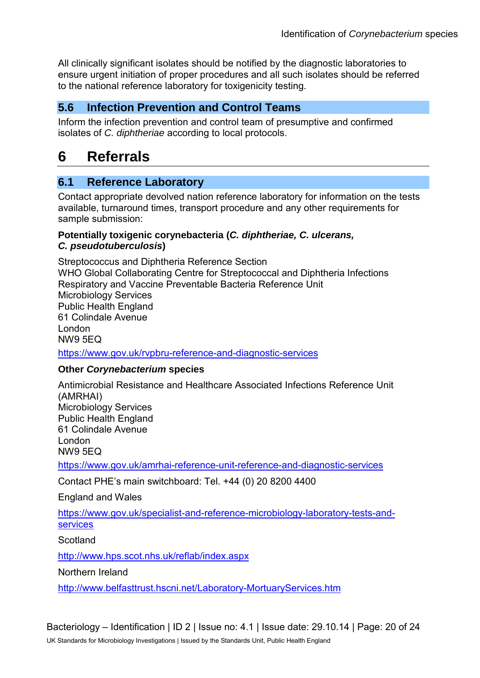All clinically significant isolates should be notified by the diagnostic laboratories to ensure urgent initiation of proper procedures and all such isolates should be referred to the national reference laboratory for toxigenicity testing.

#### **5.6 Infection Prevention and Control Teams**

Inform the infection prevention and control team of presumptive and confirmed isolates of *C. diphtheriae* according to local protocols.

## **6 Referrals**

#### **6.1 Reference Laboratory**

Contact appropriate devolved nation reference laboratory for information on the tests available, turnaround times, transport procedure and any other requirements for sample submission:

#### **Potentially toxigenic corynebacteria (***C. diphtheriae, C. ulcerans, C. pseudotuberculosis***)**

Streptococcus and Diphtheria Reference Section WHO Global Collaborating Centre for Streptococcal and Diphtheria Infections Respiratory and Vaccine Preventable Bacteria Reference Unit Microbiology Services Public Health England 61 Colindale Avenue London NW9 5EQ

<https://www.gov.uk/rvpbru-reference-and-diagnostic-services>

#### **Other** *Corynebacterium* **species**

Antimicrobial Resistance and Healthcare Associated Infections Reference Unit (AMRHAI) Microbiology Services Public Health England 61 Colindale Avenue London NW9 5EQ <https://www.gov.uk/amrhai-reference-unit-reference-and-diagnostic-services>

Contact PHE's main switchboard: Tel. +44 (0) 20 8200 4400

England and Wales

[https://www.gov.uk/specialist-and-reference-microbiology-laboratory-tests-and](https://www.gov.uk/specialist-and-reference-microbiology-laboratory-tests-and-services)[services](https://www.gov.uk/specialist-and-reference-microbiology-laboratory-tests-and-services) 

**Scotland** 

<http://www.hps.scot.nhs.uk/reflab/index.aspx>

Northern Ireland

<http://www.belfasttrust.hscni.net/Laboratory-MortuaryServices.htm>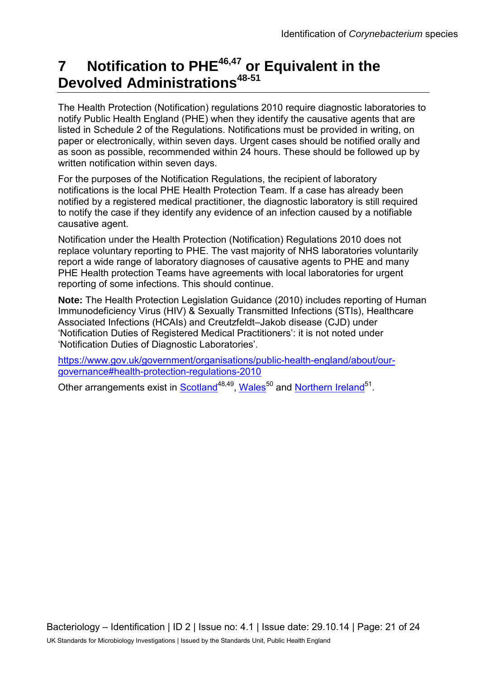# **7 Notification to PHE46,47 or Equivalent in the Devolved Administrations48-51**

The Health Protection (Notification) regulations 2010 require diagnostic laboratories to notify Public Health England (PHE) when they identify the causative agents that are listed in Schedule 2 of the Regulations. Notifications must be provided in writing, on paper or electronically, within seven days. Urgent cases should be notified orally and as soon as possible, recommended within 24 hours. These should be followed up by written notification within seven days.

For the purposes of the Notification Regulations, the recipient of laboratory notifications is the local PHE Health Protection Team. If a case has already been notified by a registered medical practitioner, the diagnostic laboratory is still required to notify the case if they identify any evidence of an infection caused by a notifiable causative agent.

Notification under the Health Protection (Notification) Regulations 2010 does not replace voluntary reporting to PHE. The vast majority of NHS laboratories voluntarily report a wide range of laboratory diagnoses of causative agents to PHE and many PHE Health protection Teams have agreements with local laboratories for urgent reporting of some infections. This should continue.

**Note:** The Health Protection Legislation Guidance (2010) includes reporting of Human Immunodeficiency Virus (HIV) & Sexually Transmitted Infections (STIs), Healthcare Associated Infections (HCAIs) and Creutzfeldt–Jakob disease (CJD) under 'Notification Duties of Registered Medical Practitioners': it is not noted under 'Notification Duties of Diagnostic Laboratories'.

[https://www.gov.uk/government/organisations/public-health-england/about/our](https://www.gov.uk/government/organisations/public-health-england/about/our-governance#health-protection-regulations-2010)[governance#health-protection-regulations-2010](https://www.gov.uk/government/organisations/public-health-england/about/our-governance#health-protection-regulations-2010) 

Other arrangements exist in [Scotland](http://www.scotland.gov.uk/Topics/Health/Policy/Public-Health-Act/Implementation/Guidance/Guidance-Part2)<sup>48,49</sup>, Wales<sup>50</sup> and [Northern Ireland](http://www.publichealth.hscni.net/directorate-public-health/health-protection)<sup>51</sup>.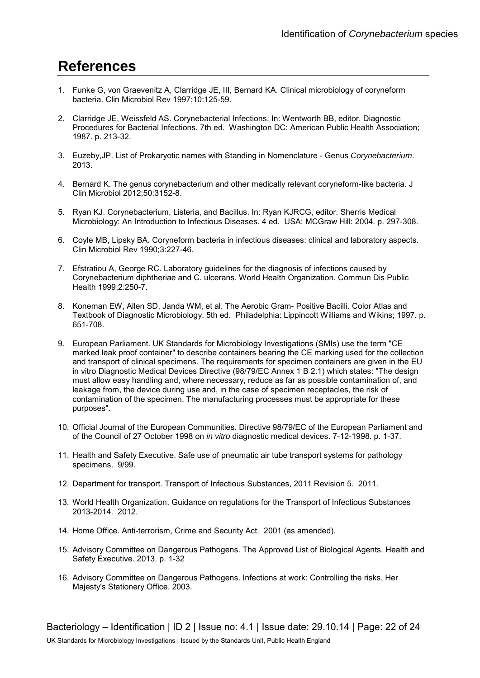# **References**

- 1. Funke G, von Graevenitz A, Clarridge JE, III, Bernard KA. Clinical microbiology of coryneform bacteria. Clin Microbiol Rev 1997;10:125-59.
- 2. Clarridge JE, Weissfeld AS. Corynebacterial Infections. In: Wentworth BB, editor. Diagnostic Procedures for Bacterial Infections. 7th ed. Washington DC: American Public Health Association; 1987. p. 213-32.
- 3. Euzeby,JP. List of Prokaryotic names with Standing in Nomenclature Genus *Corynebacterium*. 2013.
- 4. Bernard K. The genus corynebacterium and other medically relevant coryneform-like bacteria. J Clin Microbiol 2012;50:3152-8.
- 5. Ryan KJ. Corynebacterium, Listeria, and Bacillus. In: Ryan KJRCG, editor. Sherris Medical Microbiology: An Introduction to Infectious Diseases. 4 ed. USA: MCGraw Hill: 2004. p. 297-308.
- 6. Coyle MB, Lipsky BA. Coryneform bacteria in infectious diseases: clinical and laboratory aspects. Clin Microbiol Rev 1990;3:227-46.
- 7. Efstratiou A, George RC. Laboratory guidelines for the diagnosis of infections caused by Corynebacterium diphtheriae and C. ulcerans. World Health Organization. Commun Dis Public Health 1999;2:250-7.
- 8. Koneman EW, Allen SD, Janda WM, et al. The Aerobic Gram- Positive Bacilli. Color Atlas and Textbook of Diagnostic Microbiology. 5th ed. Philadelphia: Lippincott Williams and Wikins; 1997. p. 651-708.
- 9. European Parliament. UK Standards for Microbiology Investigations (SMIs) use the term "CE marked leak proof container" to describe containers bearing the CE marking used for the collection and transport of clinical specimens. The requirements for specimen containers are given in the EU in vitro Diagnostic Medical Devices Directive (98/79/EC Annex 1 B 2.1) which states: "The design must allow easy handling and, where necessary, reduce as far as possible contamination of, and leakage from, the device during use and, in the case of specimen receptacles, the risk of contamination of the specimen. The manufacturing processes must be appropriate for these purposes".
- 10. Official Journal of the European Communities. Directive 98/79/EC of the European Parliament and of the Council of 27 October 1998 on *in vitro* diagnostic medical devices. 7-12-1998. p. 1-37.
- 11. Health and Safety Executive. Safe use of pneumatic air tube transport systems for pathology specimens. 9/99.
- 12. Department for transport. Transport of Infectious Substances, 2011 Revision 5. 2011.
- 13. World Health Organization. Guidance on regulations for the Transport of Infectious Substances 2013-2014. 2012.
- 14. Home Office. Anti-terrorism, Crime and Security Act. 2001 (as amended).
- 15. Advisory Committee on Dangerous Pathogens. The Approved List of Biological Agents. Health and Safety Executive. 2013. p. 1-32
- 16. Advisory Committee on Dangerous Pathogens. Infections at work: Controlling the risks. Her Majesty's Stationery Office. 2003.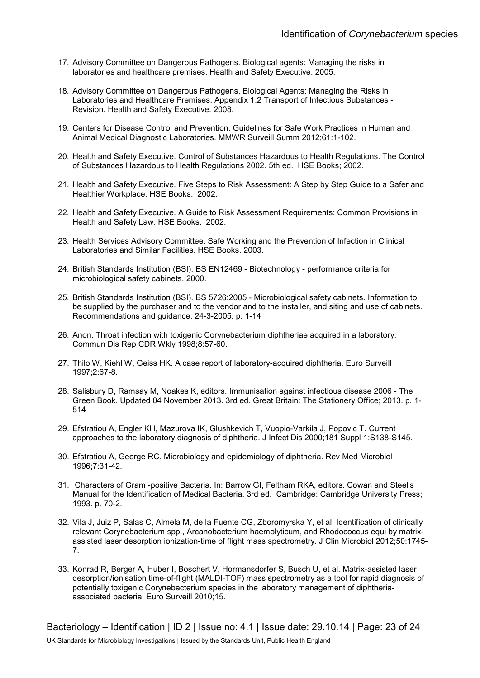- 17. Advisory Committee on Dangerous Pathogens. Biological agents: Managing the risks in laboratories and healthcare premises. Health and Safety Executive. 2005.
- 18. Advisory Committee on Dangerous Pathogens. Biological Agents: Managing the Risks in Laboratories and Healthcare Premises. Appendix 1.2 Transport of Infectious Substances - Revision. Health and Safety Executive. 2008.
- 19. Centers for Disease Control and Prevention. Guidelines for Safe Work Practices in Human and Animal Medical Diagnostic Laboratories. MMWR Surveill Summ 2012;61:1-102.
- 20. Health and Safety Executive. Control of Substances Hazardous to Health Regulations. The Control of Substances Hazardous to Health Regulations 2002. 5th ed. HSE Books; 2002.
- 21. Health and Safety Executive. Five Steps to Risk Assessment: A Step by Step Guide to a Safer and Healthier Workplace. HSE Books. 2002.
- 22. Health and Safety Executive. A Guide to Risk Assessment Requirements: Common Provisions in Health and Safety Law. HSE Books. 2002.
- 23. Health Services Advisory Committee. Safe Working and the Prevention of Infection in Clinical Laboratories and Similar Facilities. HSE Books. 2003.
- 24. British Standards Institution (BSI). BS EN12469 Biotechnology performance criteria for microbiological safety cabinets. 2000.
- 25. British Standards Institution (BSI). BS 5726:2005 Microbiological safety cabinets. Information to be supplied by the purchaser and to the vendor and to the installer, and siting and use of cabinets. Recommendations and guidance. 24-3-2005. p. 1-14
- 26. Anon. Throat infection with toxigenic Corynebacterium diphtheriae acquired in a laboratory. Commun Dis Rep CDR Wkly 1998;8:57-60.
- 27. Thilo W, Kiehl W, Geiss HK. A case report of laboratory-acquired diphtheria. Euro Surveill 1997;2:67-8.
- 28. Salisbury D, Ramsay M, Noakes K, editors. Immunisation against infectious disease 2006 The Green Book. Updated 04 November 2013. 3rd ed. Great Britain: The Stationery Office; 2013. p. 1- 514
- 29. Efstratiou A, Engler KH, Mazurova IK, Glushkevich T, Vuopio-Varkila J, Popovic T. Current approaches to the laboratory diagnosis of diphtheria. J Infect Dis 2000;181 Suppl 1:S138-S145.
- 30. Efstratiou A, George RC. Microbiology and epidemiology of diphtheria. Rev Med Microbiol 1996;7:31-42.
- 31. Characters of Gram -positive Bacteria. In: Barrow GI, Feltham RKA, editors. Cowan and Steel's Manual for the Identification of Medical Bacteria. 3rd ed. Cambridge: Cambridge University Press; 1993. p. 70-2.
- 32. Vila J, Juiz P, Salas C, Almela M, de la Fuente CG, Zboromyrska Y, et al. Identification of clinically relevant Corynebacterium spp., Arcanobacterium haemolyticum, and Rhodococcus equi by matrixassisted laser desorption ionization-time of flight mass spectrometry. J Clin Microbiol 2012;50:1745- 7.
- 33. Konrad R, Berger A, Huber I, Boschert V, Hormansdorfer S, Busch U, et al. Matrix-assisted laser desorption/ionisation time-of-flight (MALDI-TOF) mass spectrometry as a tool for rapid diagnosis of potentially toxigenic Corynebacterium species in the laboratory management of diphtheriaassociated bacteria. Euro Surveill 2010;15.